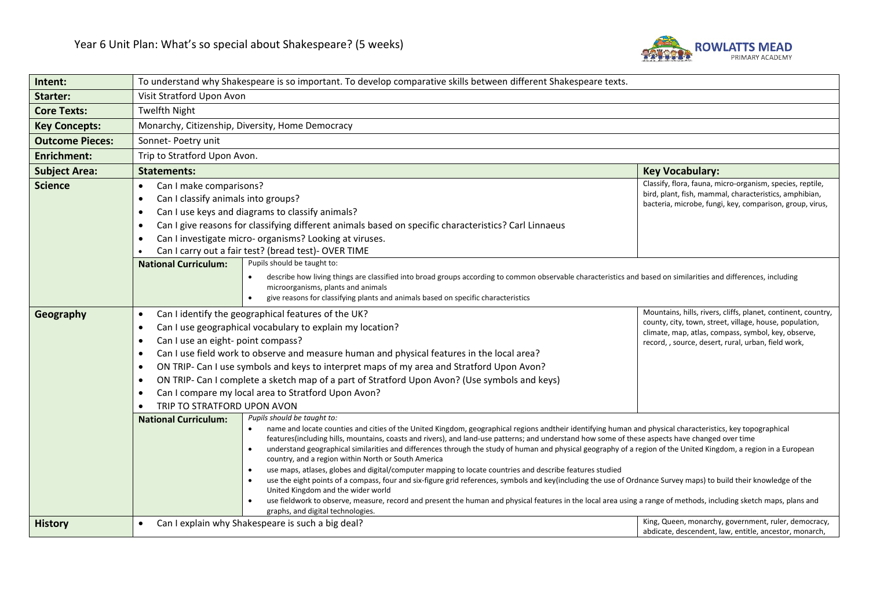

| Intent:                | To understand why Shakespeare is so important. To develop comparative skills between different Shakespeare texts.                                                                                                                                                                                                                                                                                                                                                                 |                                                                                                                                                                 |                                                                                                                    |
|------------------------|-----------------------------------------------------------------------------------------------------------------------------------------------------------------------------------------------------------------------------------------------------------------------------------------------------------------------------------------------------------------------------------------------------------------------------------------------------------------------------------|-----------------------------------------------------------------------------------------------------------------------------------------------------------------|--------------------------------------------------------------------------------------------------------------------|
| Starter:               | Visit Stratford Upon Avon                                                                                                                                                                                                                                                                                                                                                                                                                                                         |                                                                                                                                                                 |                                                                                                                    |
| <b>Core Texts:</b>     | <b>Twelfth Night</b>                                                                                                                                                                                                                                                                                                                                                                                                                                                              |                                                                                                                                                                 |                                                                                                                    |
| <b>Key Concepts:</b>   | Monarchy, Citizenship, Diversity, Home Democracy                                                                                                                                                                                                                                                                                                                                                                                                                                  |                                                                                                                                                                 |                                                                                                                    |
| <b>Outcome Pieces:</b> | Sonnet- Poetry unit                                                                                                                                                                                                                                                                                                                                                                                                                                                               |                                                                                                                                                                 |                                                                                                                    |
| <b>Enrichment:</b>     | Trip to Stratford Upon Avon.                                                                                                                                                                                                                                                                                                                                                                                                                                                      |                                                                                                                                                                 |                                                                                                                    |
| <b>Subject Area:</b>   | <b>Statements:</b><br><b>Key Vocabulary:</b>                                                                                                                                                                                                                                                                                                                                                                                                                                      |                                                                                                                                                                 |                                                                                                                    |
| <b>Science</b>         | Can I make comparisons?<br>$\bullet$                                                                                                                                                                                                                                                                                                                                                                                                                                              |                                                                                                                                                                 | Classify, flora, fauna, micro-organism, species, reptile,                                                          |
|                        | Can I classify animals into groups?<br>٠                                                                                                                                                                                                                                                                                                                                                                                                                                          |                                                                                                                                                                 | bird, plant, fish, mammal, characteristics, amphibian,<br>bacteria, microbe, fungi, key, comparison, group, virus, |
|                        | $\bullet$                                                                                                                                                                                                                                                                                                                                                                                                                                                                         | Can I use keys and diagrams to classify animals?                                                                                                                |                                                                                                                    |
|                        |                                                                                                                                                                                                                                                                                                                                                                                                                                                                                   | Can I give reasons for classifying different animals based on specific characteristics? Carl Linnaeus                                                           |                                                                                                                    |
|                        | ٠                                                                                                                                                                                                                                                                                                                                                                                                                                                                                 | Can I investigate micro- organisms? Looking at viruses.                                                                                                         |                                                                                                                    |
|                        | Can I carry out a fair test? (bread test)- OVER TIME                                                                                                                                                                                                                                                                                                                                                                                                                              |                                                                                                                                                                 |                                                                                                                    |
|                        | <b>National Curriculum:</b>                                                                                                                                                                                                                                                                                                                                                                                                                                                       | Pupils should be taught to:                                                                                                                                     |                                                                                                                    |
|                        |                                                                                                                                                                                                                                                                                                                                                                                                                                                                                   | describe how living things are classified into broad groups according to common observable characteristics and based on similarities and differences, including |                                                                                                                    |
|                        |                                                                                                                                                                                                                                                                                                                                                                                                                                                                                   | microorganisms, plants and animals<br>give reasons for classifying plants and animals based on specific characteristics                                         |                                                                                                                    |
|                        | $\bullet$                                                                                                                                                                                                                                                                                                                                                                                                                                                                         | Can I identify the geographical features of the UK?                                                                                                             | Mountains, hills, rivers, cliffs, planet, continent, country,                                                      |
| Geography              | $\bullet$                                                                                                                                                                                                                                                                                                                                                                                                                                                                         |                                                                                                                                                                 | county, city, town, street, village, house, population,                                                            |
|                        | Can I use geographical vocabulary to explain my location?<br>climate, map, atlas, compass, symbol, key, observe,<br>Can I use an eight- point compass?<br>$\bullet$                                                                                                                                                                                                                                                                                                               |                                                                                                                                                                 |                                                                                                                    |
|                        | $\bullet$                                                                                                                                                                                                                                                                                                                                                                                                                                                                         | Can I use field work to observe and measure human and physical features in the local area?                                                                      | record, , source, desert, rural, urban, field work,                                                                |
|                        | ٠                                                                                                                                                                                                                                                                                                                                                                                                                                                                                 | ON TRIP- Can I use symbols and keys to interpret maps of my area and Stratford Upon Avon?                                                                       |                                                                                                                    |
|                        | $\bullet$                                                                                                                                                                                                                                                                                                                                                                                                                                                                         | ON TRIP- Can I complete a sketch map of a part of Stratford Upon Avon? (Use symbols and keys)                                                                   |                                                                                                                    |
|                        | ٠                                                                                                                                                                                                                                                                                                                                                                                                                                                                                 | Can I compare my local area to Stratford Upon Avon?                                                                                                             |                                                                                                                    |
|                        | TRIP TO STRATFORD UPON AVON                                                                                                                                                                                                                                                                                                                                                                                                                                                       |                                                                                                                                                                 |                                                                                                                    |
|                        | <b>National Curriculum:</b>                                                                                                                                                                                                                                                                                                                                                                                                                                                       | Pupils should be taught to:                                                                                                                                     |                                                                                                                    |
|                        | name and locate counties and cities of the United Kingdom, geographical regions andtheir identifying human and physical characteristics, key topographical<br>features(including hills, mountains, coasts and rivers), and land-use patterns; and understand how some of these aspects have changed over time<br>understand geographical similarities and differences through the study of human and physical geography of a region of the United Kingdom, a region in a European |                                                                                                                                                                 |                                                                                                                    |
|                        |                                                                                                                                                                                                                                                                                                                                                                                                                                                                                   | country, and a region within North or South America                                                                                                             |                                                                                                                    |
|                        |                                                                                                                                                                                                                                                                                                                                                                                                                                                                                   | use maps, atlases, globes and digital/computer mapping to locate countries and describe features studied                                                        |                                                                                                                    |
|                        | use the eight points of a compass, four and six-figure grid references, symbols and key(including the use of Ordnance Survey maps) to build their knowledge of the                                                                                                                                                                                                                                                                                                                |                                                                                                                                                                 |                                                                                                                    |
|                        | United Kingdom and the wider world<br>use fieldwork to observe, measure, record and present the human and physical features in the local area using a range of methods, including sketch maps, plans and                                                                                                                                                                                                                                                                          |                                                                                                                                                                 |                                                                                                                    |
|                        | graphs, and digital technologies.                                                                                                                                                                                                                                                                                                                                                                                                                                                 |                                                                                                                                                                 |                                                                                                                    |
| <b>History</b>         | King, Queen, monarchy, government, ruler, democracy,<br>Can I explain why Shakespeare is such a big deal?<br>$\bullet$<br>abdicate, descendent, law, entitle, ancestor, monarch,                                                                                                                                                                                                                                                                                                  |                                                                                                                                                                 |                                                                                                                    |
|                        |                                                                                                                                                                                                                                                                                                                                                                                                                                                                                   |                                                                                                                                                                 |                                                                                                                    |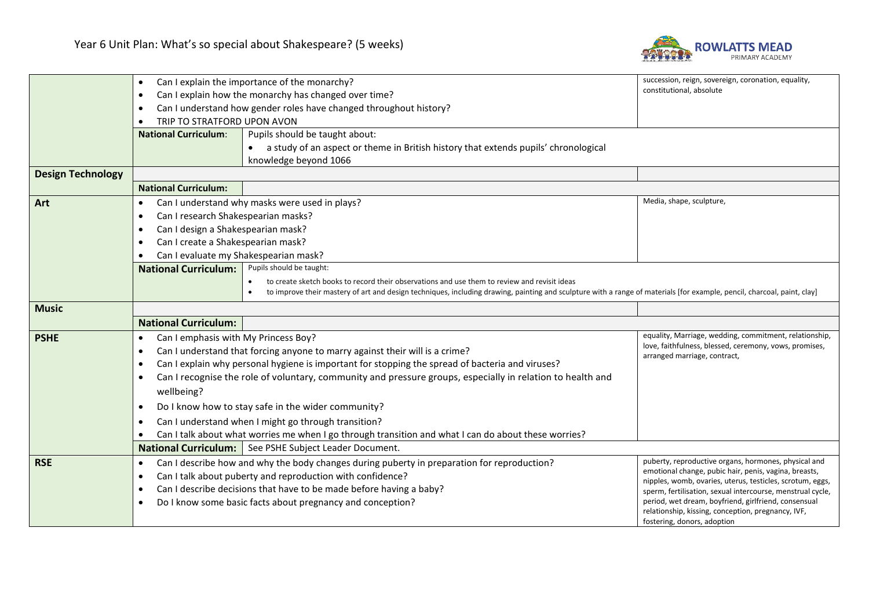

|                          | Can I explain the importance of the monarchy?<br>$\bullet$                                                                                                                                                  |                                                                                                                                                                         | succession, reign, sovereign, coronation, equality,                                    |  |
|--------------------------|-------------------------------------------------------------------------------------------------------------------------------------------------------------------------------------------------------------|-------------------------------------------------------------------------------------------------------------------------------------------------------------------------|----------------------------------------------------------------------------------------|--|
|                          | Can I explain how the monarchy has changed over time?<br>$\bullet$                                                                                                                                          |                                                                                                                                                                         | constitutional, absolute                                                               |  |
|                          | Can I understand how gender roles have changed throughout history?<br>٠                                                                                                                                     |                                                                                                                                                                         |                                                                                        |  |
|                          | TRIP TO STRATFORD UPON AVON                                                                                                                                                                                 |                                                                                                                                                                         |                                                                                        |  |
|                          | <b>National Curriculum:</b>                                                                                                                                                                                 | Pupils should be taught about:                                                                                                                                          |                                                                                        |  |
|                          |                                                                                                                                                                                                             | a study of an aspect or theme in British history that extends pupils' chronological                                                                                     |                                                                                        |  |
|                          |                                                                                                                                                                                                             | knowledge beyond 1066                                                                                                                                                   |                                                                                        |  |
| <b>Design Technology</b> |                                                                                                                                                                                                             |                                                                                                                                                                         |                                                                                        |  |
|                          | <b>National Curriculum:</b>                                                                                                                                                                                 |                                                                                                                                                                         |                                                                                        |  |
| Art                      | $\bullet$                                                                                                                                                                                                   | Can I understand why masks were used in plays?                                                                                                                          | Media, shape, sculpture,                                                               |  |
|                          | Can I research Shakespearian masks?                                                                                                                                                                         |                                                                                                                                                                         |                                                                                        |  |
|                          | ٠                                                                                                                                                                                                           | Can I design a Shakespearian mask?                                                                                                                                      |                                                                                        |  |
|                          | Can I create a Shakespearian mask?                                                                                                                                                                          |                                                                                                                                                                         |                                                                                        |  |
|                          | Can I evaluate my Shakespearian mask?<br>$\bullet$                                                                                                                                                          |                                                                                                                                                                         |                                                                                        |  |
|                          | <b>National Curriculum:</b>                                                                                                                                                                                 | Pupils should be taught:                                                                                                                                                |                                                                                        |  |
|                          |                                                                                                                                                                                                             | to create sketch books to record their observations and use them to review and revisit ideas                                                                            |                                                                                        |  |
|                          |                                                                                                                                                                                                             | to improve their mastery of art and design techniques, including drawing, painting and sculpture with a range of materials [for example, pencil, charcoal, paint, clay] |                                                                                        |  |
| <b>Music</b>             |                                                                                                                                                                                                             |                                                                                                                                                                         |                                                                                        |  |
|                          | <b>National Curriculum:</b>                                                                                                                                                                                 |                                                                                                                                                                         |                                                                                        |  |
| <b>PSHE</b>              | Can I emphasis with My Princess Boy?<br>$\bullet$                                                                                                                                                           |                                                                                                                                                                         | equality, Marriage, wedding, commitment, relationship,                                 |  |
|                          | $\bullet$                                                                                                                                                                                                   | Can I understand that forcing anyone to marry against their will is a crime?                                                                                            | love, faithfulness, blessed, ceremony, vows, promises,<br>arranged marriage, contract, |  |
|                          | ٠                                                                                                                                                                                                           | Can I explain why personal hygiene is important for stopping the spread of bacteria and viruses?                                                                        |                                                                                        |  |
|                          | $\bullet$                                                                                                                                                                                                   | Can I recognise the role of voluntary, community and pressure groups, especially in relation to health and                                                              |                                                                                        |  |
|                          | wellbeing?                                                                                                                                                                                                  |                                                                                                                                                                         |                                                                                        |  |
|                          | Do I know how to stay safe in the wider community?<br>$\bullet$                                                                                                                                             |                                                                                                                                                                         |                                                                                        |  |
|                          | $\bullet$                                                                                                                                                                                                   | Can I understand when I might go through transition?                                                                                                                    |                                                                                        |  |
|                          |                                                                                                                                                                                                             | Can I talk about what worries me when I go through transition and what I can do about these worries?                                                                    |                                                                                        |  |
|                          | <b>National Curriculum:</b>                                                                                                                                                                                 | See PSHE Subject Leader Document.                                                                                                                                       |                                                                                        |  |
| <b>RSE</b>               | $\bullet$                                                                                                                                                                                                   | Can I describe how and why the body changes during puberty in preparation for reproduction?                                                                             | puberty, reproductive organs, hormones, physical and                                   |  |
|                          | $\bullet$                                                                                                                                                                                                   | Can I talk about puberty and reproduction with confidence?                                                                                                              | emotional change, pubic hair, penis, vagina, breasts,                                  |  |
|                          | nipples, womb, ovaries, uterus, testicles, scrotum, eggs,<br>Can I describe decisions that have to be made before having a baby?<br>$\bullet$<br>sperm, fertilisation, sexual intercourse, menstrual cycle, |                                                                                                                                                                         |                                                                                        |  |
|                          | period, wet dream, boyfriend, girlfriend, consensual<br>Do I know some basic facts about pregnancy and conception?<br>$\bullet$                                                                             |                                                                                                                                                                         |                                                                                        |  |
|                          | relationship, kissing, conception, pregnancy, IVF,                                                                                                                                                          |                                                                                                                                                                         |                                                                                        |  |
|                          |                                                                                                                                                                                                             |                                                                                                                                                                         | fostering, donors, adoption                                                            |  |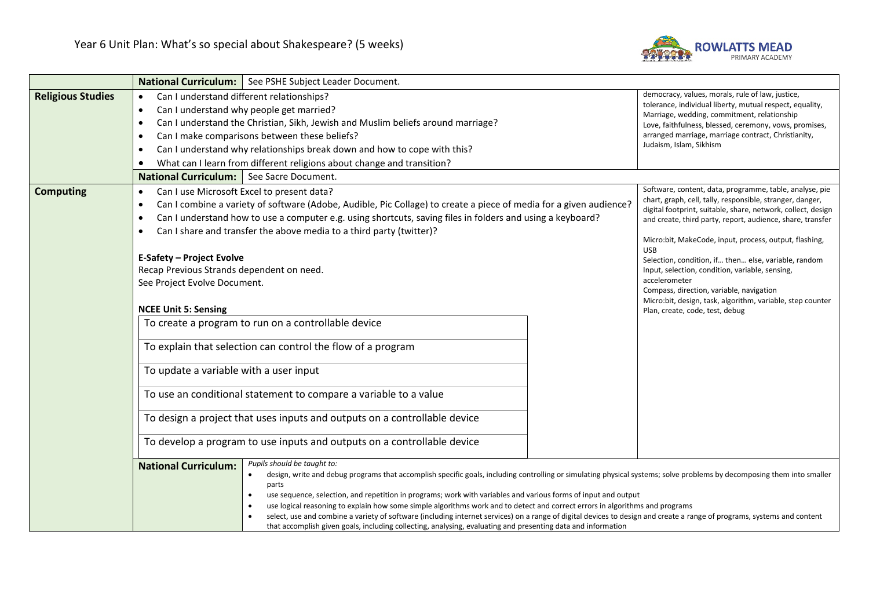

|                          | National Curriculum:   See PSHE Subject Leader Document.                                                                                                                                                                                                                                                                                                                                                                                                                                                                                                                                                                                                                                                                                                                                       |                                                                                                                                                                                                                                                                                                                                                                                                                                                                                                                                                                                                     |  |  |
|--------------------------|------------------------------------------------------------------------------------------------------------------------------------------------------------------------------------------------------------------------------------------------------------------------------------------------------------------------------------------------------------------------------------------------------------------------------------------------------------------------------------------------------------------------------------------------------------------------------------------------------------------------------------------------------------------------------------------------------------------------------------------------------------------------------------------------|-----------------------------------------------------------------------------------------------------------------------------------------------------------------------------------------------------------------------------------------------------------------------------------------------------------------------------------------------------------------------------------------------------------------------------------------------------------------------------------------------------------------------------------------------------------------------------------------------------|--|--|
| <b>Religious Studies</b> | Can I understand different relationships?<br>$\bullet$<br>Can I understand why people get married?<br>$\bullet$<br>Can I understand the Christian, Sikh, Jewish and Muslim beliefs around marriage?<br>$\bullet$<br>Can I make comparisons between these beliefs?<br>$\bullet$<br>Can I understand why relationships break down and how to cope with this?<br>$\bullet$<br>What can I learn from different religions about change and transition?<br>٠                                                                                                                                                                                                                                                                                                                                         | democracy, values, morals, rule of law, justice,<br>tolerance, individual liberty, mutual respect, equality,<br>Marriage, wedding, commitment, relationship<br>Love, faithfulness, blessed, ceremony, vows, promises,<br>arranged marriage, marriage contract, Christianity,<br>Judaism, Islam, Sikhism                                                                                                                                                                                                                                                                                             |  |  |
|                          | <b>National Curriculum:</b><br>See Sacre Document.                                                                                                                                                                                                                                                                                                                                                                                                                                                                                                                                                                                                                                                                                                                                             |                                                                                                                                                                                                                                                                                                                                                                                                                                                                                                                                                                                                     |  |  |
| <b>Computing</b>         | Can I use Microsoft Excel to present data?<br>$\bullet$<br>Can I combine a variety of software (Adobe, Audible, Pic Collage) to create a piece of media for a given audience?<br>$\bullet$<br>Can I understand how to use a computer e.g. using shortcuts, saving files in folders and using a keyboard?<br>$\bullet$<br>Can I share and transfer the above media to a third party (twitter)?<br>$\bullet$<br><b>E-Safety - Project Evolve</b><br>Recap Previous Strands dependent on need.<br>See Project Evolve Document.<br><b>NCEE Unit 5: Sensing</b><br>To create a program to run on a controllable device<br>To explain that selection can control the flow of a program<br>To update a variable with a user input<br>To use an conditional statement to compare a variable to a value | Software, content, data, programme, table, analyse, pie<br>chart, graph, cell, tally, responsible, stranger, danger,<br>digital footprint, suitable, share, network, collect, design<br>and create, third party, report, audience, share, transfer<br>Micro:bit, MakeCode, input, process, output, flashing,<br><b>USB</b><br>Selection, condition, if then else, variable, random<br>Input, selection, condition, variable, sensing,<br>accelerometer<br>Compass, direction, variable, navigation<br>Micro:bit, design, task, algorithm, variable, step counter<br>Plan, create, code, test, debug |  |  |
|                          | To design a project that uses inputs and outputs on a controllable device                                                                                                                                                                                                                                                                                                                                                                                                                                                                                                                                                                                                                                                                                                                      |                                                                                                                                                                                                                                                                                                                                                                                                                                                                                                                                                                                                     |  |  |
|                          | To develop a program to use inputs and outputs on a controllable device                                                                                                                                                                                                                                                                                                                                                                                                                                                                                                                                                                                                                                                                                                                        |                                                                                                                                                                                                                                                                                                                                                                                                                                                                                                                                                                                                     |  |  |
|                          | Pupils should be taught to:<br><b>National Curriculum:</b><br>$\bullet$<br>parts<br>use sequence, selection, and repetition in programs; work with variables and various forms of input and output<br>$\bullet$<br>use logical reasoning to explain how some simple algorithms work and to detect and correct errors in algorithms and programs<br>$\bullet$<br>$\bullet$<br>that accomplish given goals, including collecting, analysing, evaluating and presenting data and information                                                                                                                                                                                                                                                                                                      | design, write and debug programs that accomplish specific goals, including controlling or simulating physical systems; solve problems by decomposing them into smaller<br>select, use and combine a variety of software (including internet services) on a range of digital devices to design and create a range of programs, systems and content                                                                                                                                                                                                                                                   |  |  |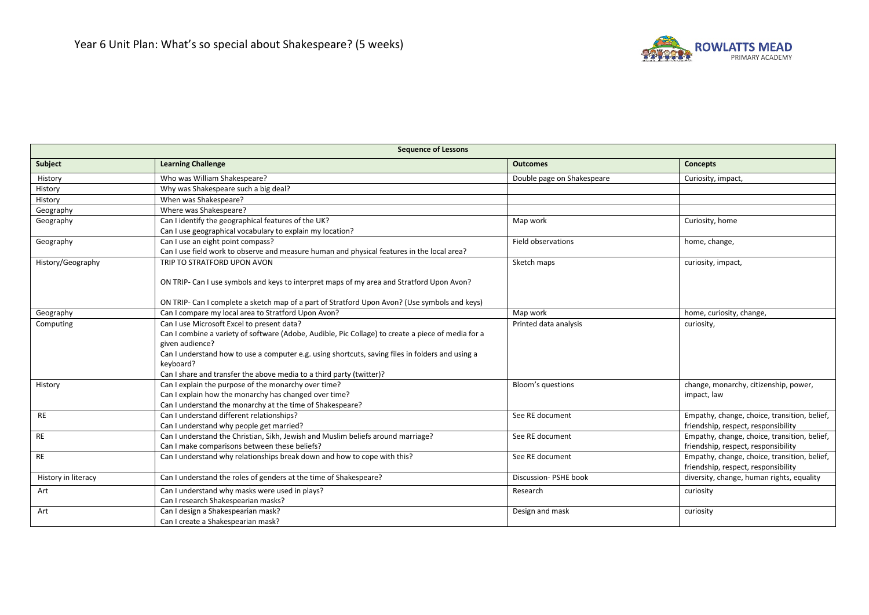

| Sequence of Lessons |                                                                                                                              |                            |                                                                                     |  |
|---------------------|------------------------------------------------------------------------------------------------------------------------------|----------------------------|-------------------------------------------------------------------------------------|--|
| Subject             | <b>Learning Challenge</b>                                                                                                    | <b>Outcomes</b>            | <b>Concepts</b>                                                                     |  |
| History             | Who was William Shakespeare?                                                                                                 | Double page on Shakespeare | Curiosity, impact,                                                                  |  |
| History             | Why was Shakespeare such a big deal?                                                                                         |                            |                                                                                     |  |
| History             | When was Shakespeare?                                                                                                        |                            |                                                                                     |  |
| Geography           | Where was Shakespeare?                                                                                                       |                            |                                                                                     |  |
| Geography           | Can I identify the geographical features of the UK?                                                                          | Map work                   | Curiosity, home                                                                     |  |
|                     | Can I use geographical vocabulary to explain my location?                                                                    |                            |                                                                                     |  |
| Geography           | Can I use an eight point compass?                                                                                            | Field observations         | home, change,                                                                       |  |
|                     | Can I use field work to observe and measure human and physical features in the local area?                                   |                            |                                                                                     |  |
| History/Geography   | TRIP TO STRATFORD UPON AVON                                                                                                  | Sketch maps                | curiosity, impact,                                                                  |  |
|                     | ON TRIP- Can I use symbols and keys to interpret maps of my area and Stratford Upon Avon?                                    |                            |                                                                                     |  |
|                     | ON TRIP- Can I complete a sketch map of a part of Stratford Upon Avon? (Use symbols and keys)                                |                            |                                                                                     |  |
| Geography           | Can I compare my local area to Stratford Upon Avon?                                                                          | Map work                   | home, curiosity, change,                                                            |  |
| Computing           | Can I use Microsoft Excel to present data?                                                                                   | Printed data analysis      | curiosity,                                                                          |  |
|                     | Can I combine a variety of software (Adobe, Audible, Pic Collage) to create a piece of media for a                           |                            |                                                                                     |  |
|                     | given audience?                                                                                                              |                            |                                                                                     |  |
|                     | Can I understand how to use a computer e.g. using shortcuts, saving files in folders and using a                             |                            |                                                                                     |  |
|                     | keyboard?                                                                                                                    |                            |                                                                                     |  |
|                     | Can I share and transfer the above media to a third party (twitter)?                                                         |                            |                                                                                     |  |
| History             | Can I explain the purpose of the monarchy over time?                                                                         | Bloom's questions          | change, monarchy, citizenship, power,                                               |  |
|                     | Can I explain how the monarchy has changed over time?                                                                        |                            | impact, law                                                                         |  |
|                     | Can I understand the monarchy at the time of Shakespeare?                                                                    |                            |                                                                                     |  |
| <b>RE</b>           | Can I understand different relationships?                                                                                    | See RE document            | Empathy, change, choice, transition, belief,                                        |  |
| <b>RE</b>           | Can I understand why people get married?<br>Can I understand the Christian, Sikh, Jewish and Muslim beliefs around marriage? | See RE document            | friendship, respect, responsibility                                                 |  |
|                     | Can I make comparisons between these beliefs?                                                                                |                            | Empathy, change, choice, transition, belief,<br>friendship, respect, responsibility |  |
| <b>RE</b>           | Can I understand why relationships break down and how to cope with this?                                                     | See RE document            | Empathy, change, choice, transition, belief,                                        |  |
|                     |                                                                                                                              |                            | friendship, respect, responsibility                                                 |  |
| History in literacy | Can I understand the roles of genders at the time of Shakespeare?                                                            | Discussion- PSHE book      | diversity, change, human rights, equality                                           |  |
| Art                 | Can I understand why masks were used in plays?                                                                               | Research                   | curiosity                                                                           |  |
|                     | Can I research Shakespearian masks?                                                                                          |                            |                                                                                     |  |
| Art                 | Can I design a Shakespearian mask?                                                                                           | Design and mask            | curiosity                                                                           |  |
|                     | Can I create a Shakespearian mask?                                                                                           |                            |                                                                                     |  |